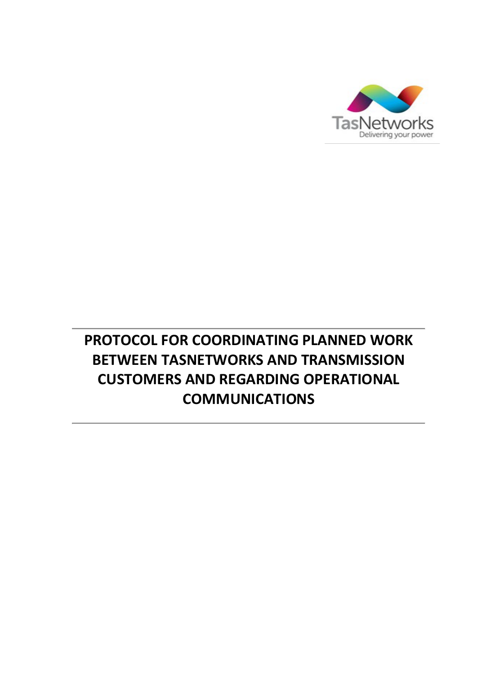

# **PROTOCOL FOR COORDINATING PLANNED WORK BETWEEN TASNETWORKS AND TRANSMISSION CUSTOMERS AND REGARDING OPERATIONAL COMMUNICATIONS**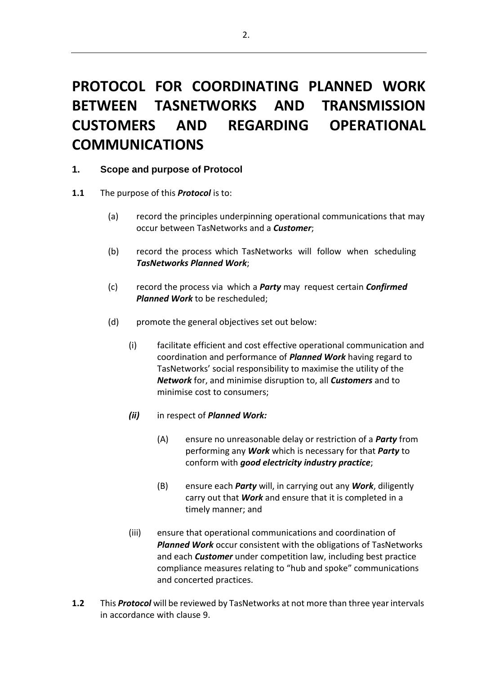# **PROTOCOL FOR COORDINATING PLANNED WORK BETWEEN TASNETWORKS AND TRANSMISSION CUSTOMERS AND REGARDING OPERATIONAL COMMUNICATIONS**

### **1. Scope and purpose of Protocol**

- <span id="page-1-0"></span>**1.1** The purpose of this *Protocol* is to:
	- (a) record the principles underpinning operational communications that may occur between TasNetworks and a *Customer*;
	- (b) record the process which TasNetworks will follow when scheduling *TasNetworks Planned Work*;
	- (c) record the process via which a *Party* may request certain *Confirmed Planned Work* to be rescheduled;
	- (d) promote the general objectives set out below:
		- (i) facilitate efficient and cost effective operational communication and coordination and performance of *Planned Work* having regard to TasNetworks' social responsibility to maximise the utility of the *Network* for, and minimise disruption to, all *Customers* and to minimise cost to consumers;
		- *(ii)* in respect of *Planned Work:*
			- (A) ensure no unreasonable delay or restriction of a *Party* from performing any *Work* which is necessary for that *Party* to conform with *good electricity industry practice*;
			- (B) ensure each *Party* will, in carrying out any *Work*, diligently carry out that *Work* and ensure that it is completed in a timely manner; and
		- (iii) ensure that operational communications and coordination of *Planned Work* occur consistent with the obligations of TasNetworks and each *Customer* under competition law, including best practice compliance measures relating to "hub and spoke" communications and concerted practices.
- 1.2 This **Protocol** will be reviewed by TasNetworks at not more than three year intervals in accordance with clause 9.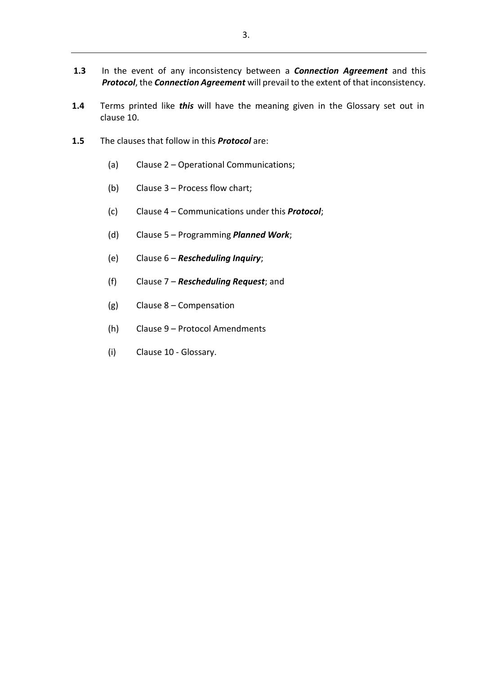- **1.3** In the event of any inconsistency between a *Connection Agreement* and this *Protocol*, the *Connection Agreement* will prevail to the extent of that inconsistency.
- **1.4** Terms printed like *this* will have the meaning given in the Glossary set out in clause 10.
- **1.5** The clauses that follow in this *Protocol* are:
	- (a) Clause [2](#page-3-0) Operational Communications;
	- (b) Clause [3](#page-4-0) Process flow chart;
	- (c) Clause [4](#page-4-1) Communications under this *Protocol*;
	- (d) Clause [5](#page-5-0) Programming *Planned Work*;
	- (e) Clause [6](#page-9-0) *Rescheduling Inquiry*;
	- (f) Clause [7](#page-10-0) *Rescheduling Request*; and
	- (g) Clause [8](#page-13-0) Compensation
	- (h) Clause 9 Protocol Amendments
	- (i) Clause 10 Glossary.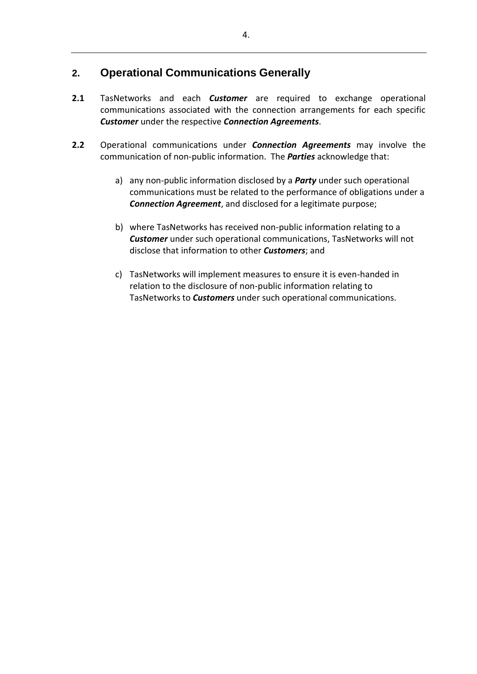# <span id="page-3-0"></span>**2. Operational Communications Generally**

- **2.1** TasNetworks and each *Customer* are required to exchange operational communications associated with the connection arrangements for each specific *Customer* under the respective *Connection Agreements*.
- **2.2** Operational communications under *Connection Agreements* may involve the communication of non-public information. The *Parties* acknowledge that:
	- a) any non-public information disclosed by a *Party* under such operational communications must be related to the performance of obligations under a *Connection Agreement*, and disclosed for a legitimate purpose;
	- b) where TasNetworks has received non-public information relating to a *Customer* under such operational communications, TasNetworks will not disclose that information to other *Customers*; and
	- c) TasNetworks will implement measures to ensure it is even-handed in relation to the disclosure of non-public information relating to TasNetworks to *Customers* under such operational communications.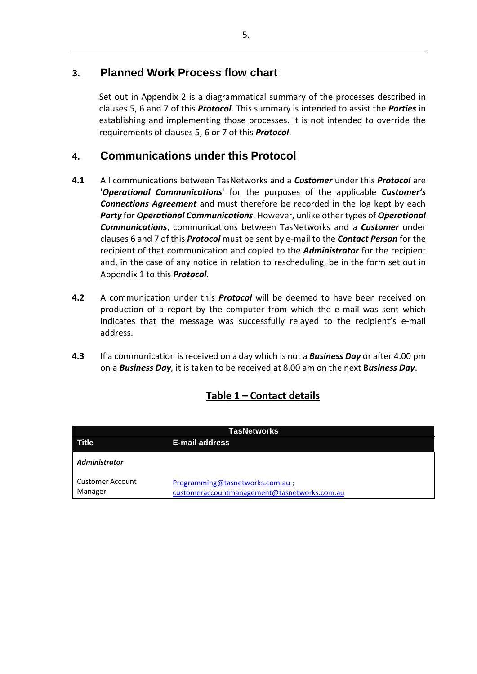# <span id="page-4-0"></span>**3. Planned Work Process flow chart**

Set out in Appendix 2 is a diagrammatical summary of the processes described in clauses [5,](#page-5-0) [6 a](#page-9-0)nd [7 o](#page-10-0)f this *Protocol*. This summary is intended to assist the *Parties* in establishing and implementing those processes. It is not intended to override the requirements of clauses [5,](#page-5-0) [6](#page-9-0) or [7](#page-10-0) of this *Protocol*.

# <span id="page-4-1"></span>**4. Communications under this Protocol**

- **4.1** All communications between TasNetworks and a *Customer* under this *Protocol* are '*Operational Communications*' for the purposes of the applicable *Customer's Connections Agreement* and must therefore be recorded in the log kept by each *Party* for *Operational Communications*. However, unlike other types of *Operational Communications*, communications between TasNetworks and a *Customer* under clauses [6](#page-9-0) and [7](#page-10-0) of this *Protocol* must be sent by e-mail to the *Contact Person* for the recipient of that communication and copied to the *Administrator* for the recipient and, in the case of any notice in relation to rescheduling, be in the form set out in Appendix 1 to this *Protocol*.
- **4.2** A communication under this *Protocol* will be deemed to have been received on production of a report by the computer from which the e-mail was sent which indicates that the message was successfully relayed to the recipient's e-mail address.
- **4.3** If a communication isreceived on a day which is not a *Business Day* or after 4.00 pm on a *Business Day,* it is taken to be received at 8.00 am on the next **B***usiness Day*.

| <b>TasNetworks</b>          |                                                                                 |  |  |  |  |  |
|-----------------------------|---------------------------------------------------------------------------------|--|--|--|--|--|
| <b>Title</b>                | <b>E-mail address</b>                                                           |  |  |  |  |  |
| <b>Administrator</b>        |                                                                                 |  |  |  |  |  |
| Customer Account<br>Manager | Programming@tasnetworks.com.au;<br>customeraccountmanagement@tasnetworks.com.au |  |  |  |  |  |

# **Table 1 – Contact details**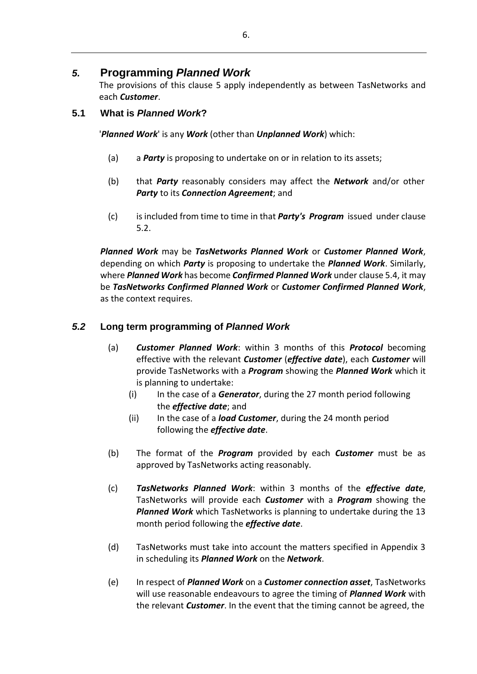# <span id="page-5-0"></span>*5.* **Programming** *Planned Work*

The provisions of this clause [5 a](#page-5-0)pply independently as between TasNetworks and each *Customer*.

## <span id="page-5-3"></span>**5.1 What is** *Planned Work***?**

'*Planned Work*' is any *Work* (other than *Unplanned Work*) which:

- (a) a *Party* is proposing to undertake on or in relation to its assets;
- (b) that *Party* reasonably considers may affect the *Network* and/or other *Party* to its *Connection Agreement*; and
- (c) is included from time to time in that *Party's Program* issued under clause [5.2.](#page-5-1)

*Planned Work* may be *TasNetworks Planned Work* or *Customer Planned Work*, depending on which *Party* is proposing to undertake the *Planned Work*. Similarly, where *Planned Work* has become *Confirmed Planned Work* under clause 5.4, it may be *TasNetworks Confirmed Planned Work* or *Customer Confirmed Planned Work*, as the context requires.

## <span id="page-5-1"></span>*5.2* **Long term programming of** *Planned Work*

- (a) *Customer Planned Work*: within 3 months of this *Protocol* becoming effective with the relevant *Customer* (*effective date*), each *Customer* will provide TasNetworks with a *Program* showing the *Planned Work* which it is planning to undertake:
	- (i) In the case of a *Generator*, during the 27 month period following the *effective date*; and
	- (ii) In the case of a *load Customer*, during the 24 month period following the *effective date*.
- (b) The format of the *Program* provided by each *Customer* must be as approved by TasNetworks acting reasonably.
- (c) *TasNetworks Planned Work*: within 3 months of the *effective date*, TasNetworks will provide each *Customer* with a *Program* showing the *Planned Work* which TasNetworks is planning to undertake during the 13 month period following the *effective date*.
- (d) TasNetworks must take into account the matters specified in Appendix 3 in scheduling its *Planned Work* on the *Network*.
- <span id="page-5-2"></span>(e) In respect of *Planned Work* on a *Customer connection asset*, TasNetworks will use reasonable endeavours to agree the timing of *Planned Work* with the relevant *Customer*. In the event that the timing cannot be agreed, the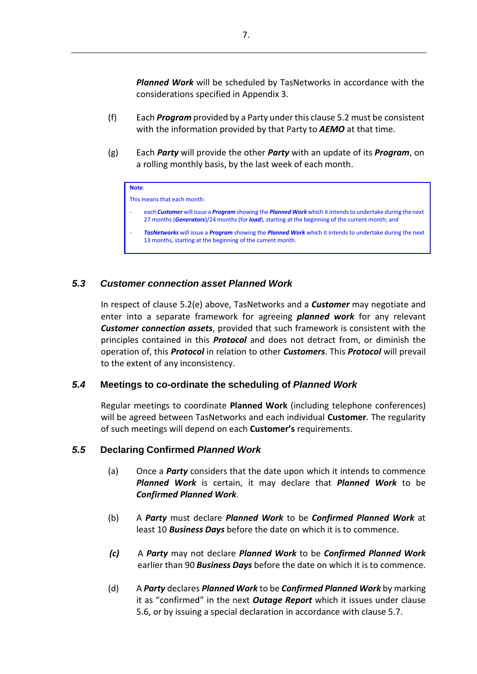*Planned Work* will be scheduled by TasNetworks in accordance with the considerations specified in Appendix 3.

- (f) Each *Program* provided by a Party under this clause 5.2 must be consistent with the information provided by that Party to *AEMO* at that time.
- <span id="page-6-0"></span>(g) Each *Party* will provide the other *Party* with an update of its *Program*, on a rolling monthly basis, by the last week of each month.

| ____ |
|------|
|------|

This means that each month:

- each *Customer* will issue a *Program* showing the *Planned Work* which it intendsto undertake during the next 27 months (*Generators*)/24 months (for *load*), starting at the beginning of the current month; and
- *TasNetworks* will issue a *Program* showing the *Planned Work* which it intends to undertake during the next 13 months, starting at the beginning of the current month.

### <span id="page-6-1"></span>*5.3 Customer connection asset Planned Work*

In respect of clause [5.2\(e\) a](#page-5-2)bove, TasNetworks and a *Customer* may negotiate and enter into a separate framework for agreeing *planned work* for any relevant *Customer connection assets*, provided that such framework is consistent with the principles contained in this *Protocol* and does not detract from, or diminish the operation of, this *Protocol* in relation to other *Customers*. This *Protocol* will prevail to the extent of any inconsistency.

### *5.4* **Meetings to co-ordinate the scheduling of** *Planned Work*

Regular meetings to coordinate **Planned Work** (including telephone conferences) will be agreed between TasNetworks and each individual **Customer**. The regularity of such meetings will depend on each **Customer's** requirements.

### <span id="page-6-2"></span>*5.5* **Declaring Confirmed** *Planned Work*

- (a) Once a *Party* considers that the date upon which it intends to commence *Planned Work* is certain, it may declare that *Planned Work* to be *Confirmed Planned Work*.
- (b) A *Party* must declare *Planned Work* to be *Confirmed Planned Work* at least 10 *Business Days* before the date on which it is to commence.
- *(c)* A *Party* may not declare *Planned Work* to be *Confirmed Planned Work* earlier than 90 *Business Days* before the date on which it isto commence.
- (d) A *Party* declares *Planned Work* to be *Confirmed Planned Work* by marking it as "confirmed" in the next *Outage Report* which it issues under clause [5.6,](#page-7-0) or by issuing a special declaration in accordance with clause [5.7.](#page-8-0)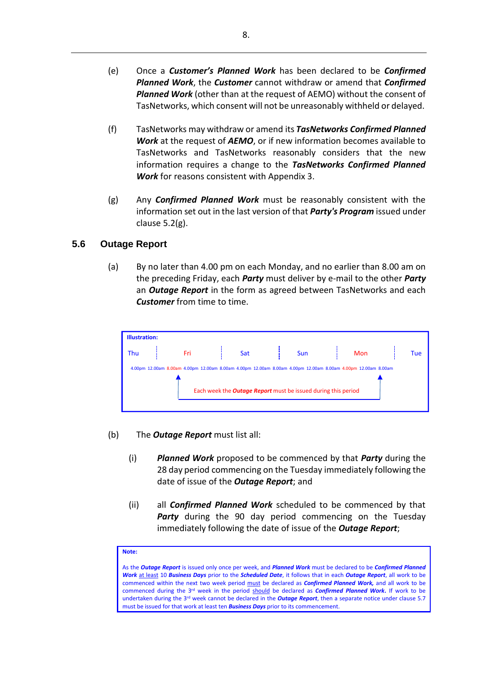- (e) Once a *Customer's Planned Work* has been declared to be *Confirmed Planned Work*, the *Customer* cannot withdraw or amend that *Confirmed Planned Work* (other than at the request of AEMO) without the consent of TasNetworks, which consent will not be unreasonably withheld or delayed.
- <span id="page-7-2"></span>(f) TasNetworks may withdraw or amend its *TasNetworks Confirmed Planned Work* at the request of *AEMO*, or if new information becomes available to TasNetworks and TasNetworks reasonably considers that the new information requires a change to the *TasNetworks Confirmed Planned Work* for reasons consistent with Appendix 3.
- (g) Any *Confirmed Planned Work* must be reasonably consistent with the information set out in the last version of that *Party's Program* issued under clause [5.2\(g\).](#page-6-0)

### <span id="page-7-0"></span>**5.6 Outage Report**

(a) By no later than 4.00 pm on each Monday, and no earlier than 8.00 am on the preceding Friday, each *Party* must deliver by e-mail to the other *Party* an *Outage Report* in the form as agreed between TasNetworks and each *Customer* from time to time.



- <span id="page-7-1"></span>(b) The *Outage Report* must list all:
	- (i) *Planned Work* proposed to be commenced by that *Party* during the 28 day period commencing on the Tuesday immediately following the date of issue of the *Outage Report*; and
	- (ii) all *Confirmed Planned Work* scheduled to be commenced by that *Party* during the 90 day period commencing on the Tuesday immediately following the date of issue of the *Outage Report*;

#### **Note:**

As the *Outage Report* is issued only once per week, and *Planned Work* must be declared to be *Confirmed Planned Work* at least 10 *Business Days* prior to the *Scheduled Date*, it follows that in each *Outage Report*, all work to be commenced within the next two week period must be declared as *Confirmed Planned Work,* and all work to be commenced during the 3rd week in the period should be declared as *Confirmed Planned Work***.** If work to be undertaken during the 3rd week cannot be declared in the *Outage Report*, then a separate notice under claus[e 5.7](#page-8-0) must be issued for that work at least ten *Business Days* prior to its commencement.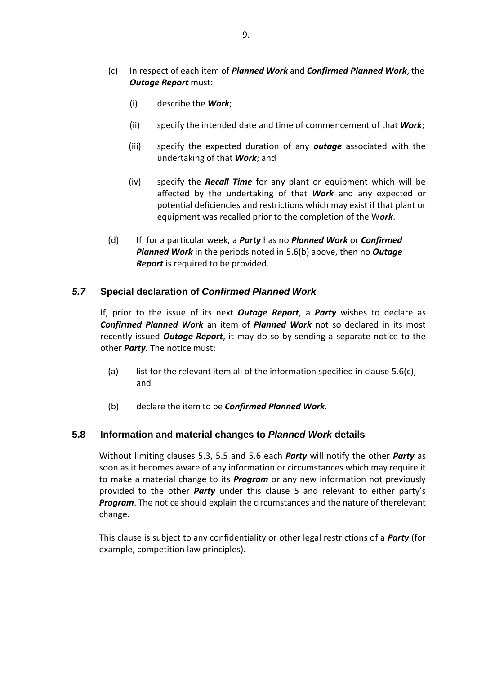- <span id="page-8-1"></span>(c) In respect of each item of *Planned Work* and *Confirmed Planned Work*, the *Outage Report must:* 
	- (i) describe the *Work*;
	- (ii) specify the intended date and time of commencement of that *Work*;
	- (iii) specify the expected duration of any *outage* associated with the undertaking of that *Work*; and
	- (iv) specify the *Recall Time* for any plant or equipment which will be affected by the undertaking of that *Work* and any expected or potential deficiencies and restrictions which may exist if that plant or equipment was recalled prior to the completion of the W*ork*.
- (d) If, for a particular week, a *Party* has no *Planned Work* or *Confirmed Planned Work* in the periods noted in [5.6\(b\) a](#page-7-1)bove, then no *Outage Report* is required to be provided.

### <span id="page-8-0"></span>*5.7* **Special declaration of** *Confirmed Planned Work*

If, prior to the issue of its next *Outage Report*, a *Party* wishes to declare as *Confirmed Planned Work* an item of *Planned Work* not so declared in its most recently issued *Outage Report*, it may do so by sending a separate notice to the other *Party.* The notice must:

- (a) list for the relevant item all of the information specified in clause  $5.6(c)$ ; and
- (b) declare the item to be *Confirmed Planned Work*.

### **5.8 Information and material changes to** *Planned Work* **details**

Without limiting clauses [5.3,](#page-6-1) [5.5 a](#page-6-2)nd [5.6 e](#page-7-0)ach *Party* will notify the other *Party* as soon as it becomes aware of any information or circumstances which may require it to make a material change to its *Program* or any new information not previously provided to the other *Party* under this clause [5](#page-5-0) and relevant to either party's *Program*. The notice should explain the circumstances and the nature of therelevant change.

This clause is subject to any confidentiality or other legal restrictions of a *Party* (for example, competition law principles).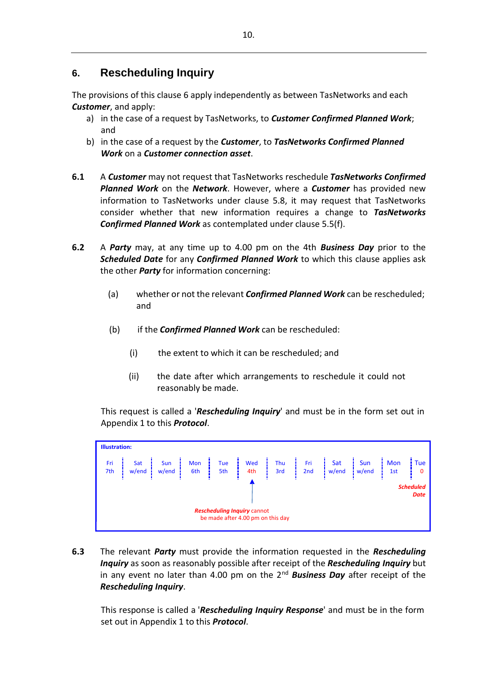# <span id="page-9-0"></span>**6. Rescheduling Inquiry**

The provisions of this clause [6](#page-9-0) apply independently as between TasNetworks and each *Customer*, and apply:

- a) in the case of a request by TasNetworks, to *Customer Confirmed Planned Work*; and
- b) in the case of a request by the *Customer*, to *TasNetworks Confirmed Planned Work* on a *Customer connection asset*.
- **6.1** A *Customer* may not request that TasNetworks reschedule *TasNetworks Confirmed Planned Work* on the *Network*. However, where a *Customer* has provided new information to TasNetworks under clause 5.8, it may request that TasNetworks consider whether that new information requires a change to *TasNetworks Confirmed Planned Work* as contemplated under clause [5.5\(f\).](#page-7-2)
- **6.2** A *Party* may, at any time up to 4.00 pm on the 4th *Business Day* prior to the *Scheduled Date* for any *Confirmed Planned Work* to which this clause applies ask the other *Party* for information concerning:
	- (a) whether or not the relevant *Confirmed Planned Work* can be rescheduled; and
	- (b) if the *Confirmed Planned Work* can be rescheduled:
		- (i) the extent to which it can be rescheduled; and
		- (ii) the date after which arrangements to reschedule it could not reasonably be made.

This request is called a '*Rescheduling Inquiry*' and must be in the form set out in Appendix 1 to this *Protocol*.



<span id="page-9-1"></span>**6.3** The relevant *Party* must provide the information requested in the *Rescheduling Inquiry* as soon as reasonably possible after receipt of the *Rescheduling Inquiry* but in any event no later than 4.00 pm on the 2<sup>nd</sup> Business Day after receipt of the *Rescheduling Inquiry*.

This response is called a '*Rescheduling Inquiry Response*' and must be in the form set out in Appendix 1 to this *Protocol*.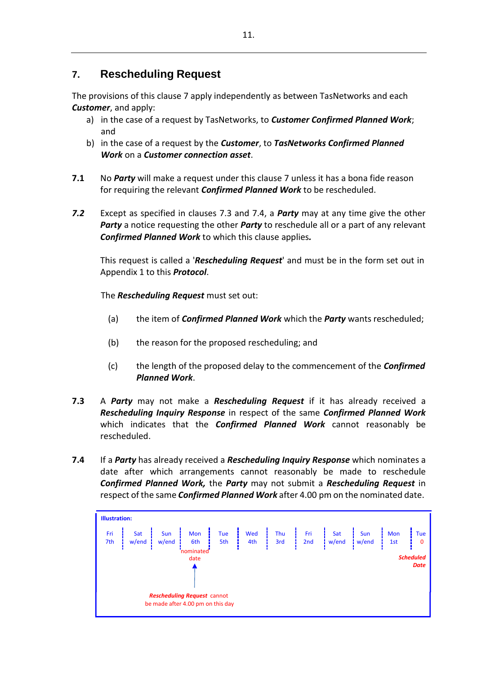# <span id="page-10-0"></span>**7. Rescheduling Request**

The provisions of this clause [7](#page-10-0) apply independently as between TasNetworks and each *Customer*, and apply:

- a) in the case of a request by TasNetworks, to *Customer Confirmed Planned Work*; and
- b) in the case of a request by the *Customer*, to *TasNetworks Confirmed Planned Work* on a *Customer connection asset*.
- **7.1** No *Party* will make a request under this claus[e 7 u](#page-10-0)nless it has a bona fide reason for requiring the relevant *Confirmed Planned Work* to be rescheduled.
- <span id="page-10-3"></span>*7.2* Except as specified in clauses [7.3 a](#page-10-1)nd [7.4,](#page-10-2) a *Party* may at any time give the other *Party* a notice requesting the other *Party* to reschedule all or a part of any relevant *Confirmed Planned Work* to which this clause applies*.*

This request is called a '*Rescheduling Request*' and must be in the form set out in Appendix 1 to this *Protocol*.

The *Rescheduling Request* must set out:

- (a) the item of *Confirmed Planned Work* which the *Party* wants rescheduled;
- (b) the reason for the proposed rescheduling; and
- (c) the length of the proposed delay to the commencement of the *Confirmed Planned Work*.
- <span id="page-10-1"></span>**7.3** A *Party* may not make a *Rescheduling Request* if it has already received a *Rescheduling Inquiry Response* in respect of the same *Confirmed Planned Work* which indicates that the *Confirmed Planned Work* cannot reasonably be rescheduled.
- <span id="page-10-2"></span>**7.4** If a *Party* has already received a *Rescheduling Inquiry Response* which nominates a date after which arrangements cannot reasonably be made to reschedule *Confirmed Planned Work,* the *Party* may not submit a *Rescheduling Request* in respect of the same *Confirmed Planned Work* after 4.00 pm on the nominated date.

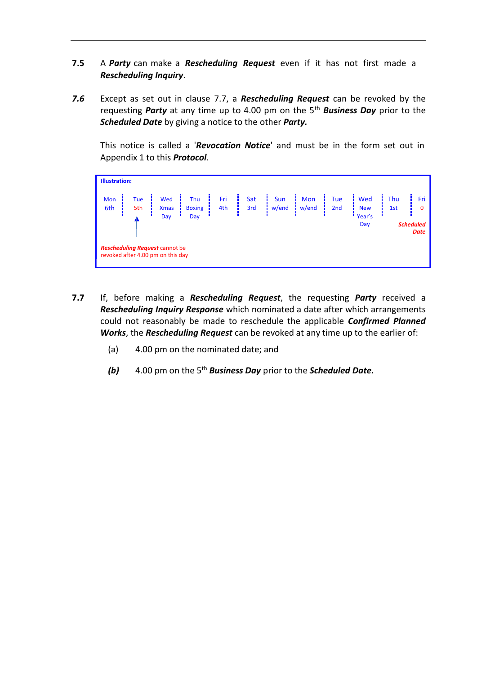- **7.5** A *Party* can make a *Rescheduling Request* even if it has not first made a *Rescheduling Inquiry*.
- <span id="page-11-1"></span>*7.6* Except as set out in clause [7.7,](#page-11-0) a *Rescheduling Request* can be revoked by the requesting *Party* at any time up to 4.00 pm on the 5th *Business Day* prior to the *Scheduled Date* by giving a notice to the other *Party.*

This notice is called a '*Revocation Notice*' and must be in the form set out in Appendix 1 to this *Protocol*.

| <b>Illustration:</b>                                                       |            |                    |                      |            |                                                 |                               |                                 |                   |                   |            |                 |
|----------------------------------------------------------------------------|------------|--------------------|----------------------|------------|-------------------------------------------------|-------------------------------|---------------------------------|-------------------|-------------------|------------|-----------------|
| Mon<br>6th                                                                 | Tue<br>5th | Wed<br><b>Xmas</b> | Thu<br><b>Boxing</b> | Fri<br>4th | Sat<br>$\begin{array}{c} 3rd \\ -1 \end{array}$ | $\frac{Sun}{i \text{ w/end}}$ | Mon<br>$\frac{1}{2}$ w/end      | <b>Tue</b><br>2nd | Wed<br><b>New</b> | Thu<br>1st | Fri<br>$\Omega$ |
| Year's<br>Day<br>Day<br>Day                                                |            |                    |                      |            |                                                 |                               | <b>Scheduled</b><br><b>Date</b> |                   |                   |            |                 |
| <b>Rescheduling Request cannot be</b><br>revoked after 4.00 pm on this day |            |                    |                      |            |                                                 |                               |                                 |                   |                   |            |                 |

- <span id="page-11-0"></span>**7.7** If, before making a *Rescheduling Request*, the requesting *Party* received a *Rescheduling Inquiry Response* which nominated a date after which arrangements could not reasonably be made to reschedule the applicable *Confirmed Planned Works*, the *Rescheduling Request* can be revoked at any time up to the earlier of:
	- (a) 4.00 pm on the nominated date; and
	- *(b)* 4.00 pm on the 5 th *Business Day* prior to the *Scheduled Date.*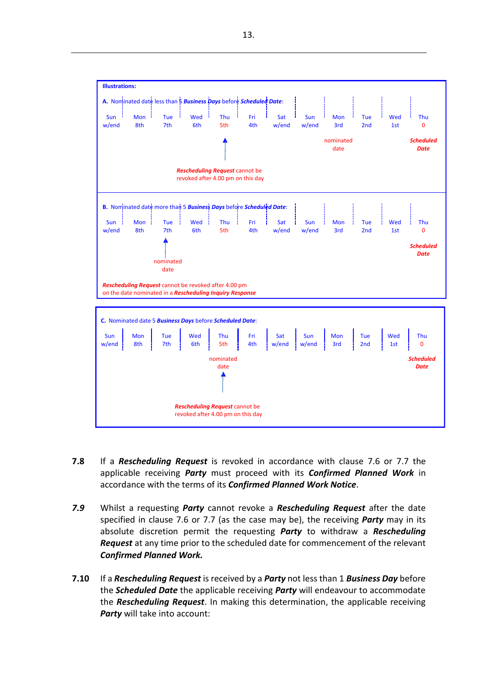**C.** Nominated date 5 *Business Days* before *Scheduled Date*: **Illustrations: A.** Nominated date less than 5 *Business Days* before *Scheduled Date*: Sun ' Mon <mark>' Tue ' Wed ' Thu ' Fri ' Sat</mark> w/end 8th 7th 6th 5th 4th w/end *Rescheduling Request* cannot be revoked after 4.00 pm on this day Sun w/end Mon 3rd nominated date Tue 2nd Wed 1st Thu  $\Omega$ *Scheduled Date* **B.** Nominated date more than 5 *Business Days* before *Scheduled Date*: Sun ¦ Mon ¦ Tue ¦ Wed ¦ Thu ¦ Fri ¦ Sat w/end 8th 7th 6th 5th 4th w/end nominated date *Rescheduling Request* cannot be revoked after 4.00 pm on the date nominated in a *Rescheduling Inquiry Response* Sun w/end Mon 3rd Tue 2nd Wed 1st Thu  $\Omega$ *Scheduled Date* Sun | Mon | Tue | Wed | Thu | Fri | Sat | Sun | Mon | Tue | Wed | Thu w/end it8th it 7th it 6th it 5th it 4th it w/end it w/end it 3rd it 2nd it 1st it 1 0 to 1 match 0 w nominated date *Scheduled Date*

**7.8** If a *Rescheduling Request* is revoked in accordance with clause [7.6](#page-11-1) or [7.7](#page-11-0) the applicable receiving *Party* must proceed with its *Confirmed Planned Work* in accordance with the terms of its *Confirmed Planned Work Notice*.

*Rescheduling Request* cannot be revoked after 4.00 pm on this day

- *7.9* Whilst a requesting *Party* cannot revoke a *Rescheduling Request* after the date specified in clause [7.6 o](#page-11-1)r [7.7 \(](#page-11-0)as the case may be), the receiving *Party* may in its absolute discretion permit the requesting *Party* to withdraw a *Rescheduling Request* at any time prior to the scheduled date for commencement of the relevant *Confirmed Planned Work.*
- <span id="page-12-0"></span>**7.10** If a *Rescheduling Request* is received by a *Party* not less than 1 *Business Day* before the *Scheduled Date* the applicable receiving *Party* will endeavour to accommodate the *Rescheduling Request*. In making this determination, the applicable receiving *Party* will take into account: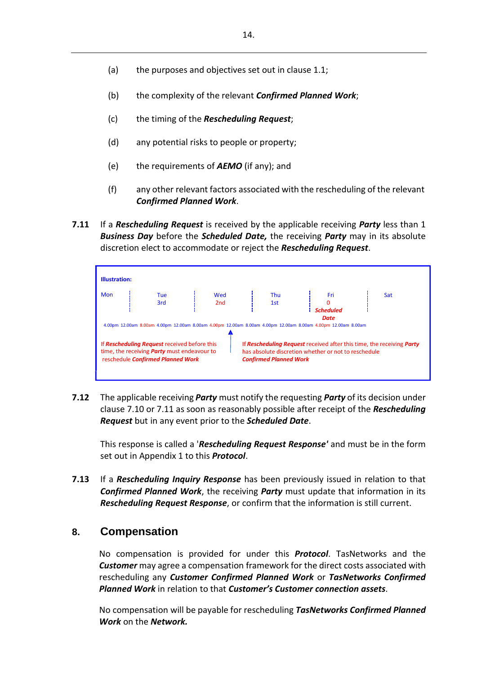- (a) the purposes and objectives set out in clause [1.1;](#page-1-0)
- (b) the complexity of the relevant *Confirmed Planned Work*;
- (c) the timing of the *Rescheduling Request*;
- (d) any potential risks to people or property;
- (e) the requirements of *AEMO* (if any); and
- (f) any other relevant factors associated with the rescheduling of the relevant *Confirmed Planned Work*.
- <span id="page-13-1"></span>**7.11** If a *Rescheduling Request* is received by the applicable receiving *Party* less than 1 *Business Day* before the *Scheduled Date,* the receiving *Party* may in its absolute discretion elect to accommodate or reject the *Rescheduling Request*.

| <b>Illustration:</b>                                                                                                                           |            |            |                                                                                                                                    |                                 |                                                                       |
|------------------------------------------------------------------------------------------------------------------------------------------------|------------|------------|------------------------------------------------------------------------------------------------------------------------------------|---------------------------------|-----------------------------------------------------------------------|
| Mon                                                                                                                                            | Tue<br>3rd | Wed<br>2nd | <b>Thu</b><br>1st<br>4.00pm 12.00am 8.00am 4.00pm 12.00am 8.00am 4.00pm 12.00am 8.00am 4.00pm 12.00am 8.00am 4.00pm 12.00am 8.00am | Fri<br><b>Scheduled</b><br>Date | <b>Sat</b>                                                            |
| If <b>Rescheduling Request</b> received before this<br>time, the receiving <b>Party</b> must endeavour to<br>reschedule Confirmed Planned Work |            |            | has absolute discretion whether or not to reschedule<br><b>Confirmed Planned Work</b>                                              |                                 | If Rescheduling Request received after this time, the receiving Party |

<span id="page-13-2"></span>**7.12** The applicable receiving *Party* must notify the requesting *Party* of its decision under clause [7.10](#page-12-0) or [7.11](#page-13-1) as soon as reasonably possible after receipt of the *Rescheduling Request* but in any event prior to the *Scheduled Date*.

This response is called a '*Rescheduling Request Response'* and must be in the form set out in Appendix 1 to this *Protocol*.

**7.13** If a *Rescheduling Inquiry Response* has been previously issued in relation to that *Confirmed Planned Work*, the receiving *Party* must update that information in its *Rescheduling Request Response*, or confirm that the information is still current.

### <span id="page-13-0"></span>**8. Compensation**

No compensation is provided for under this *Protocol*. TasNetworks and the *Customer* may agree a compensation framework for the direct costs associated with rescheduling any *Customer Confirmed Planned Work* or *TasNetworks Confirmed Planned Work* in relation to that *Customer's Customer connection assets*.

No compensation will be payable for rescheduling *TasNetworks Confirmed Planned Work* on the *Network.*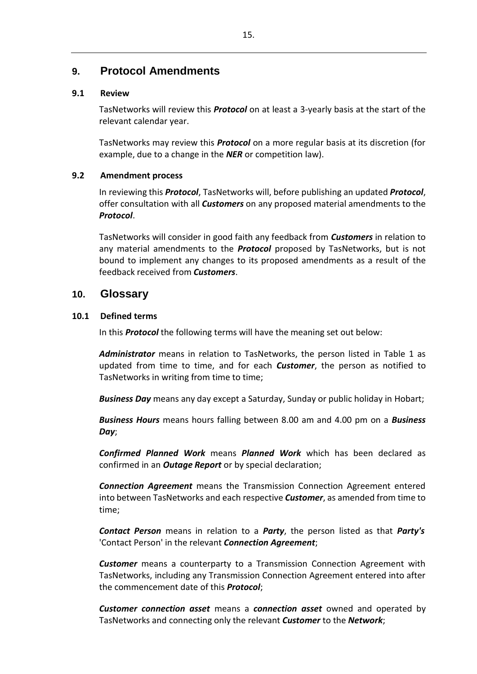# **9. Protocol Amendments**

### **9.1 Review**

TasNetworks will review this *Protocol* on at least a 3-yearly basis at the start of the relevant calendar year.

TasNetworks may review this *Protocol* on a more regular basis at its discretion (for example, due to a change in the *NER* or competition law).

### **9.2 Amendment process**

In reviewing this *Protocol*, TasNetworks will, before publishing an updated *Protocol*, offer consultation with all *Customers* on any proposed material amendments to the *Protocol*.

TasNetworks will consider in good faith any feedback from *Customers* in relation to any material amendments to the *Protocol* proposed by TasNetworks, but is not bound to implement any changes to its proposed amendments as a result of the feedback received from *Customers*.

## **10. Glossary**

### **10.1 Defined terms**

In this *Protocol* the following terms will have the meaning set out below:

*Administrator* means in relation to TasNetworks, the person listed in Table 1 as updated from time to time, and for each *Customer*, the person as notified to TasNetworks in writing from time to time;

*Business Day* means any day except a Saturday, Sunday or public holiday in Hobart;

*Business Hours* means hours falling between 8.00 am and 4.00 pm on a *Business Day*;

*Confirmed Planned Work* means *Planned Work* which has been declared as confirmed in an *Outage Report* or by special declaration;

*Connection Agreement* means the Transmission Connection Agreement entered into between TasNetworks and each respective *Customer*, as amended from time to time;

*Contact Person* means in relation to a *Party*, the person listed as that *Party's* 'Contact Person' in the relevant *Connection Agreement*;

*Customer* means a counterparty to a Transmission Connection Agreement with TasNetworks, including any Transmission Connection Agreement entered into after the commencement date of this *Protocol*;

*Customer connection asset* means a *connection asset* owned and operated by TasNetworks and connecting only the relevant *Customer* to the *Network*;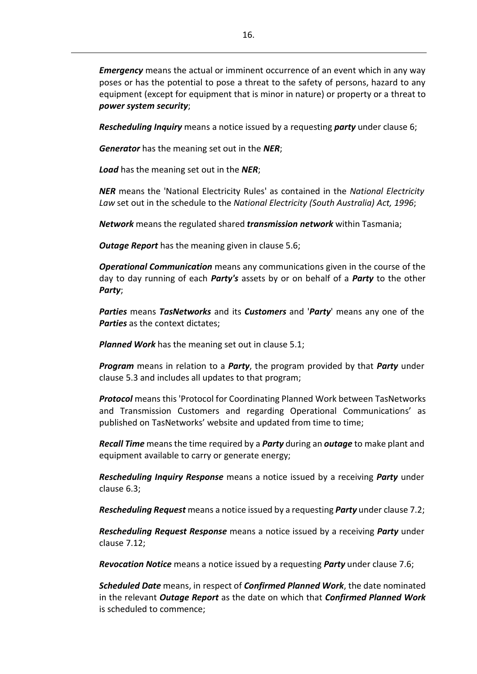*Emergency* means the actual or imminent occurrence of an event which in any way poses or has the potential to pose a threat to the safety of persons, hazard to any equipment (except for equipment that is minor in nature) or property or a threat to *power system security*;

*Rescheduling Inquiry* means a notice issued by a requesting *party* under clause [6;](#page-9-0)

*Generator* has the meaning set out in the *NER*;

*Load* has the meaning set out in the *NER*;

*NER* means the 'National Electricity Rules' as contained in the *National Electricity Law* set out in the schedule to the *National Electricity (South Australia) Act, 1996*;

*Network* means the regulated shared *transmission network* within Tasmania;

*Outage Report* has the meaning given in clause [5.6;](#page-7-0)

*Operational Communication* means any communications given in the course of the day to day running of each *Party's* assets by or on behalf of a *Party* to the other *Party*;

*Parties* means *TasNetworks* and its *Customers* and '*Party*' means any one of the *Parties* as the context dictates;

*Planned Work* has the meaning set out in clause [5.1;](#page-5-3)

*Program* means in relation to a *Party*, the program provided by that *Party* under clause [5.3](#page-6-1) and includes all updates to that program;

*Protocol* means this 'Protocol for Coordinating Planned Work between TasNetworks and Transmission Customers and regarding Operational Communications' as published on TasNetworks' website and updated from time to time;

*Recall Time* meansthe time required by a *Party* during an *outage* to make plant and equipment available to carry or generate energy;

*Rescheduling Inquiry Response* means a notice issued by a receiving *Party* under clause [6.3;](#page-9-1)

*Rescheduling Request* means a notice issued by a requesting *Party* under clause [7.2;](#page-10-3)

*Rescheduling Request Response* means a notice issued by a receiving *Party* under clause [7.12;](#page-13-2)

*Revocation Notice* means a notice issued by a requesting *Party* under clause [7.6;](#page-11-1)

*Scheduled Date* means, in respect of *Confirmed Planned Work*, the date nominated in the relevant *Outage Report* as the date on which that *Confirmed Planned Work* is scheduled to commence;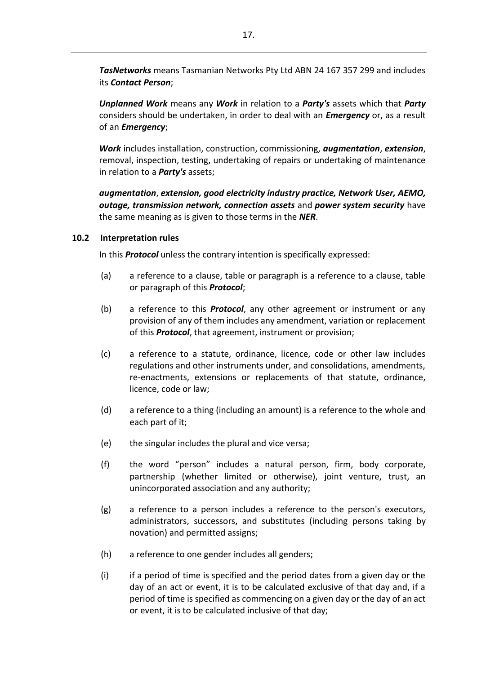*TasNetworks* means Tasmanian Networks Pty Ltd ABN 24 167 357 299 and includes its *Contact Person*;

*Unplanned Work* means any *Work* in relation to a *Party's* assets which that *Party* considers should be undertaken, in order to deal with an *Emergency* or, as a result of an *Emergency*;

*Work* includes installation, construction, commissioning, *augmentation*, *extension*, removal, inspection, testing, undertaking of repairs or undertaking of maintenance in relation to a *Party's* assets;

*augmentation*, *extension, good electricity industry practice, Network User, AEMO, outage, transmission network, connection assets* and *power system security* have the same meaning as is given to those terms in the *NER*.

#### **10.2 Interpretation rules**

In this *Protocol* unless the contrary intention is specifically expressed:

- (a) a reference to a clause, table or paragraph is a reference to a clause, table or paragraph of this *Protocol*;
- (b) a reference to this *Protocol*, any other agreement or instrument or any provision of any of them includes any amendment, variation or replacement of this *Protocol*, that agreement, instrument or provision;
- (c) a reference to a statute, ordinance, licence, code or other law includes regulations and other instruments under, and consolidations, amendments, re-enactments, extensions or replacements of that statute, ordinance, licence, code or law;
- (d) a reference to a thing (including an amount) is a reference to the whole and each part of it;
- (e) the singular includes the plural and vice versa;
- (f) the word "person" includes a natural person, firm, body corporate, partnership (whether limited or otherwise), joint venture, trust, an unincorporated association and any authority;
- (g) a reference to a person includes a reference to the person's executors, administrators, successors, and substitutes (including persons taking by novation) and permitted assigns;
- (h) a reference to one gender includes all genders;
- (i) if a period of time is specified and the period dates from a given day or the day of an act or event, it is to be calculated exclusive of that day and, if a period of time is specified as commencing on a given day or the day of an act or event, it is to be calculated inclusive of that day;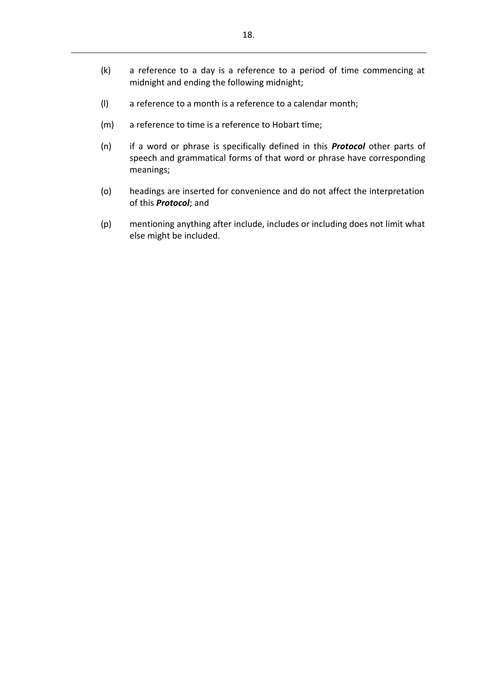- (k) a reference to a day is a reference to a period of time commencing at midnight and ending the following midnight;
- (l) a reference to a month is a reference to a calendar month;
- (m) a reference to time is a reference to Hobart time;
- (n) if a word or phrase is specifically defined in this *Protocol* other parts of speech and grammatical forms of that word or phrase have corresponding meanings;
- (o) headings are inserted for convenience and do not affect the interpretation of this *Protocol*; and
- (p) mentioning anything after include, includes or including does not limit what else might be included.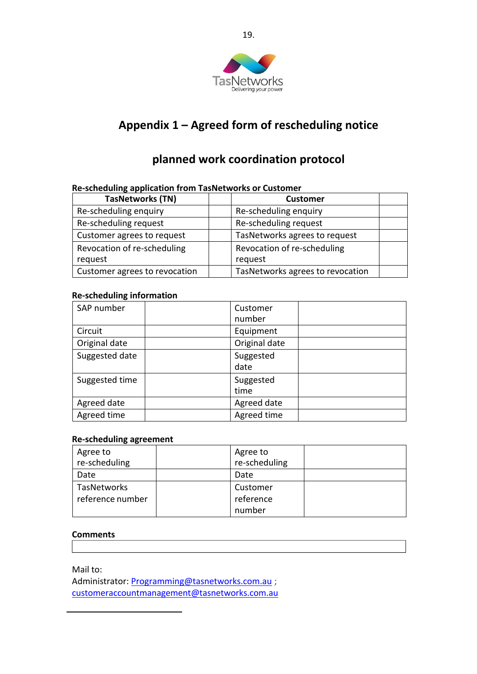

# **Appendix 1 – Agreed form of rescheduling notice**

# **planned work coordination protocol**

#### **TasNetworks (TN) Customer** Re-scheduling enquiry **Re-scheduling enquiry** Re-scheduling request <br> Re-scheduling request Customer agrees to request  $\Box$  TasNetworks agrees to request Revocation of re-scheduling request Revocation of re-scheduling request Customer agrees to revocation  $\parallel$  TasNetworks agrees to revocation

# **Re-scheduling application from TasNetworks or Customer**

### **Re-scheduling information**

| SAP number     | Customer<br>number |  |
|----------------|--------------------|--|
| Circuit        | Equipment          |  |
| Original date  | Original date      |  |
| Suggested date | Suggested<br>date  |  |
| Suggested time | Suggested<br>time  |  |
| Agreed date    | Agreed date        |  |
| Agreed time    | Agreed time        |  |

### **Re-scheduling agreement**

| Agree to         | Agree to      |  |
|------------------|---------------|--|
| re-scheduling    | re-scheduling |  |
| Date             | Date          |  |
| TasNetworks      | Customer      |  |
| reference number | reference     |  |
|                  | number        |  |

### **Comments**

Mail to:

Administrator: [Programming@tasnetworks.com.au](mailto:Programming@tasnetworks.com.au) ; [customeraccountmanagement@tasnetworks.com.au](mailto:customeraccountmanagement@tasnetworks.com.au)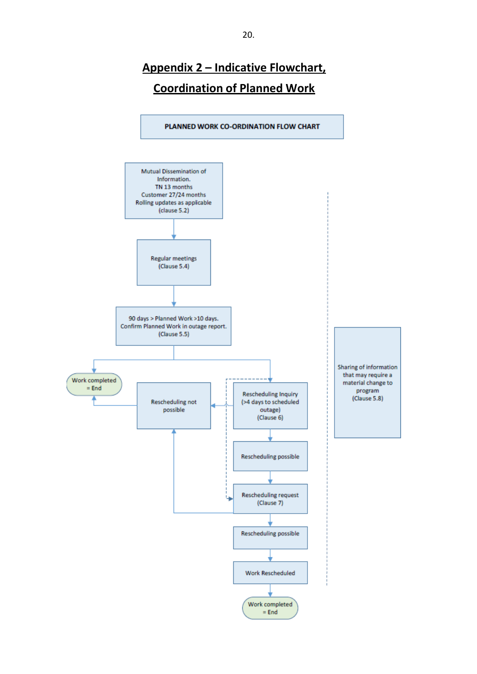# **Appendix 2 – Indicative Flowchart, Coordination of Planned Work**